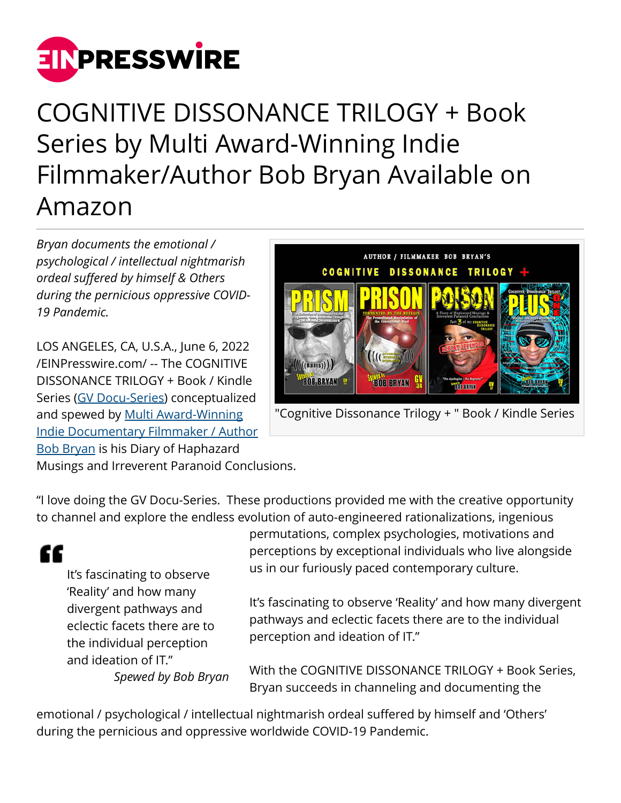

## COGNITIVE DISSONANCE TRILOGY + Book Series by Multi Award-Winning Indie Filmmaker/Author Bob Bryan Available on Amazon

*Bryan documents the emotional / psychological / intellectual nightmarish ordeal suffered by himself & Others during the pernicious oppressive COVID-19 Pandemic.*

LOS ANGELES, CA, U.S.A., June 6, 2022 [/EINPresswire.com/](http://www.einpresswire.com) -- The COGNITIVE DISSONANCE TRILOGY + Book / Kindle Series [\(GV Docu-Series\)](https://graffitiverite.com/) conceptualized and spewed by [Multi Award-Winning](https://www.graffitiverite.com/BIO.htm) [Indie Documentary Filmmaker / Author](https://www.graffitiverite.com/BIO.htm) [Bob Bryan](https://www.graffitiverite.com/BIO.htm) is his Diary of Haphazard



"Cognitive Dissonance Trilogy + " Book / Kindle Series

Musings and Irreverent Paranoid Conclusions.

"I love doing the GV Docu-Series. These productions provided me with the creative opportunity to channel and explore the endless evolution of auto-engineered rationalizations, ingenious

## ££

It's fascinating to observe 'Reality' and how many divergent pathways and eclectic facets there are to the individual perception and ideation of IT." *Spewed by Bob Bryan* permutations, complex psychologies, motivations and perceptions by exceptional individuals who live alongside us in our furiously paced contemporary culture.

It's fascinating to observe 'Reality' and how many divergent pathways and eclectic facets there are to the individual perception and ideation of IT."

With the COGNITIVE DISSONANCE TRILOGY + Book Series, Bryan succeeds in channeling and documenting the

emotional / psychological / intellectual nightmarish ordeal suffered by himself and 'Others' during the pernicious and oppressive worldwide COVID-19 Pandemic.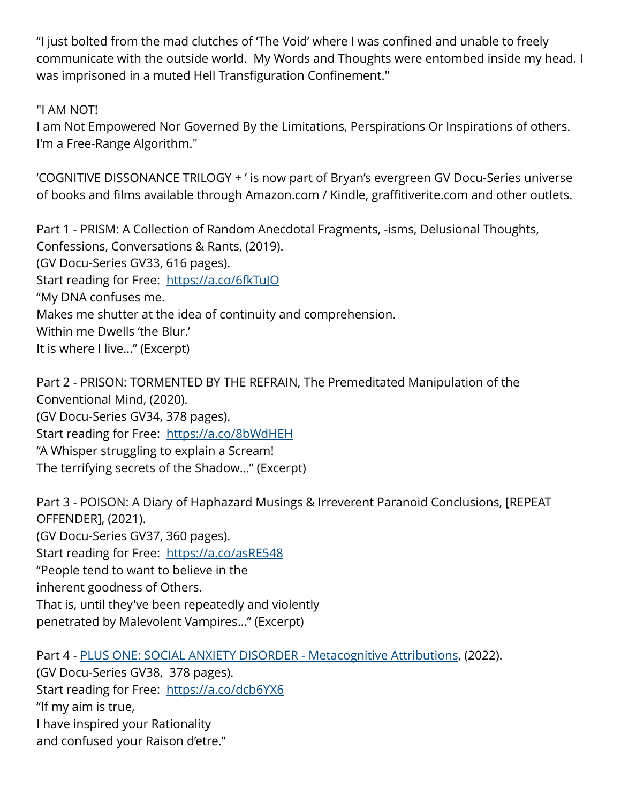"I just bolted from the mad clutches of 'The Void' where I was confined and unable to freely communicate with the outside world. My Words and Thoughts were entombed inside my head. I was imprisoned in a muted Hell Transfiguration Confinement."

"I AM NOT!

I am Not Empowered Nor Governed By the Limitations, Perspirations Or Inspirations of others. I'm a Free-Range Algorithm."

'COGNITIVE DISSONANCE TRILOGY + ' is now part of Bryan's evergreen GV Docu-Series universe of books and films available through Amazon.com / Kindle, graffitiverite.com and other outlets.

Part 1 - PRISM: A Collection of Random Anecdotal Fragments, -isms, Delusional Thoughts, Confessions, Conversations & Rants, (2019). (GV Docu-Series GV33, 616 pages). Start reading for Free: https://a.co/6fkTulO "My DNA confuses me. Makes me shutter at the idea of continuity and comprehension. Within me Dwells 'the Blur.' It is where I live…" (Excerpt)

Part 2 - PRISON: TORMENTED BY THE REFRAIN, The Premeditated Manipulation of the Conventional Mind, (2020). (GV Docu-Series GV34, 378 pages). Start reading for Free: <https://a.co/8bWdHEH> "A Whisper struggling to explain a Scream! The terrifying secrets of the Shadow…" (Excerpt)

Part 3 - POISON: A Diary of Haphazard Musings & Irreverent Paranoid Conclusions, [REPEAT OFFENDER], (2021). (GV Docu-Series GV37, 360 pages). Start reading for Free: <https://a.co/asRE548> "People tend to want to believe in the inherent goodness of Others. That is, until they've been repeatedly and violently penetrated by Malevolent Vampires…" (Excerpt)

Part 4 - [PLUS ONE: SOCIAL ANXIETY DISORDER - Metacognitive Attributions,](https://www.graffitiverite.com/PLUS-ONE.htm) (2022). (GV Docu-Series GV38, 378 pages). Start reading for Free: <https://a.co/dcb6YX6> "If my aim is true, I have inspired your Rationality and confused your Raison d'etre."